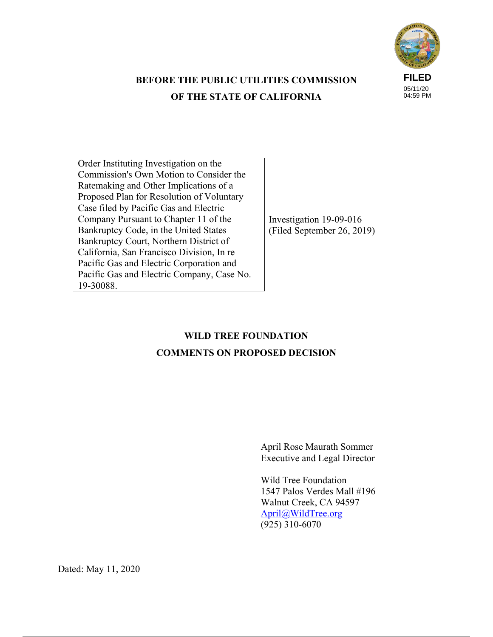

# **BEFORE THE PUBLIC UTILITIES COMMISSION OF THE STATE OF CALIFORNIA**

Order Instituting Investigation on the Commission's Own Motion to Consider the Ratemaking and Other Implications of a Proposed Plan for Resolution of Voluntary Case filed by Pacific Gas and Electric Company Pursuant to Chapter 11 of the Bankruptcy Code, in the United States Bankruptcy Court, Northern District of California, San Francisco Division, In re Pacific Gas and Electric Corporation and Pacific Gas and Electric Company, Case No. 19-30088.

Investigation 19-09-016 (Filed September 26, 2019)

# **WILD TREE FOUNDATION COMMENTS ON PROPOSED DECISION**

April Rose Maurath Sommer Executive and Legal Director

Wild Tree Foundation 1547 Palos Verdes Mall #196 Walnut Creek, CA 94597 April@WildTree.org  $(925)$  310-6070

Dated: May 11, 2020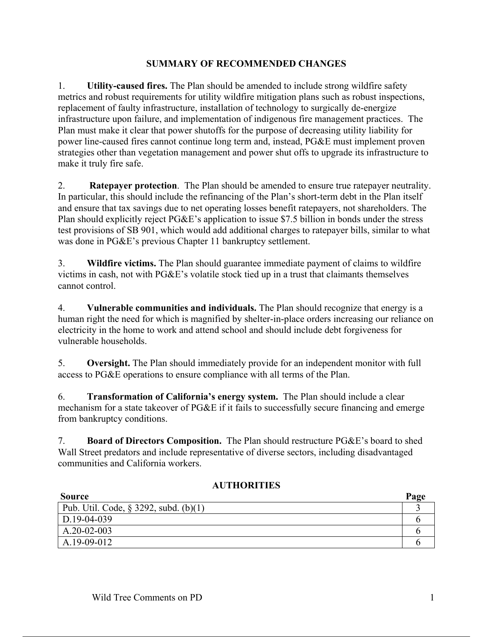## **SUMMARY OF RECOMMENDED CHANGES**

1. **Utility-caused fires.** The Plan should be amended to include strong wildfire safety metrics and robust requirements for utility wildfire mitigation plans such as robust inspections, replacement of faulty infrastructure, installation of technology to surgically de-energize infrastructure upon failure, and implementation of indigenous fire management practices. The Plan must make it clear that power shutoffs for the purpose of decreasing utility liability for power line-caused fires cannot continue long term and, instead, PG&E must implement proven strategies other than vegetation management and power shut offs to upgrade its infrastructure to make it truly fire safe.

2. **Ratepayer protection**. The Plan should be amended to ensure true ratepayer neutrality. In particular, this should include the refinancing of the Plan's short-term debt in the Plan itself and ensure that tax savings due to net operating losses benefit ratepayers, not shareholders. The Plan should explicitly reject PG&E's application to issue \$7.5 billion in bonds under the stress test provisions of SB 901, which would add additional charges to ratepayer bills, similar to what was done in PG&E's previous Chapter 11 bankruptcy settlement.

3. **Wildfire victims.** The Plan should guarantee immediate payment of claims to wildfire victims in cash, not with PG&E's volatile stock tied up in a trust that claimants themselves cannot control.

4. **Vulnerable communities and individuals.** The Plan should recognize that energy is a human right the need for which is magnified by shelter-in-place orders increasing our reliance on electricity in the home to work and attend school and should include debt forgiveness for vulnerable households.

5. **Oversight.** The Plan should immediately provide for an independent monitor with full access to PG&E operations to ensure compliance with all terms of the Plan.

6. **Transformation of California's energy system.** The Plan should include a clear mechanism for a state takeover of PG&E if it fails to successfully secure financing and emerge from bankruptcy conditions.

7. **Board of Directors Composition.** The Plan should restructure PG&E's board to shed Wall Street predators and include representative of diverse sectors, including disadvantaged communities and California workers.

| <b>Source</b>                            | Page |
|------------------------------------------|------|
| Pub. Util. Code, $\S$ 3292, subd. (b)(1) |      |
| D.19-04-039                              |      |
| $A.20-02-003$                            |      |
| A.19-09-012                              |      |

## **AUTHORITIES**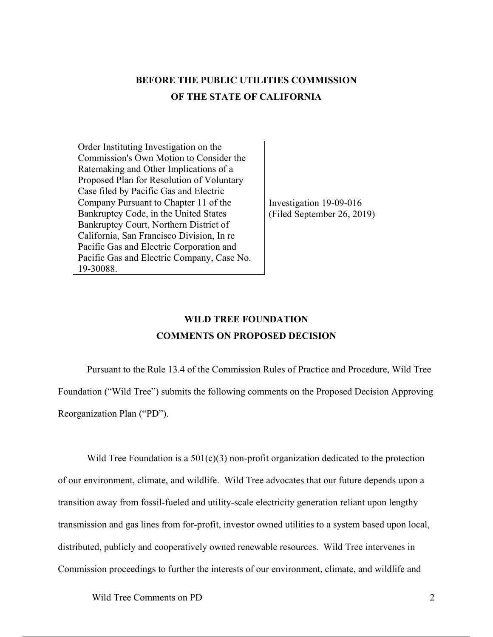# **BEFORE THE PUBLIC UTILITIES COMMISSION OF THE STATE OF CALIFORNIA**

Order Instituting Investigation on the Commission's Own Motion to Consider the Ratemaking and Other Implications of a Proposed Plan for Resolution of Voluntary Case filed by Pacific Gas and Electric Company Pursuant to Chapter 11 of the Bankruptcy Code, in the United States Bankruptcy Court, Northern District of California, San Francisco Division, In re Pacific Gas and Electric Corporation and Pacific Gas and Electric Company, Case No. 19-30088.

Investigation 19-09-016 (Filed September 26, 2019)

# **WILD TREE FOUNDATION COMMENTS ON PROPOSED DECISION**

Pursuant to the Rule 13.4 of the Commission Rules of Practice and Procedure, Wild Tree Foundation ("Wild Tree") submits the following comments on the Proposed Decision Approving Reorganization Plan ("PD").

Wild Tree Foundation is a  $501(c)(3)$  non-profit organization dedicated to the protection of our environment, climate, and wildlife. Wild Tree advocates that our future depends upon a transition away from fossil-fueled and utility-scale electricity generation reliant upon lengthy transmission and gas lines from for-profit, investor owned utilities to a system based upon local, distributed, publicly and cooperatively owned renewable resources. Wild Tree intervenes in Commission proceedings to further the interests of our environment, climate, and wildlife and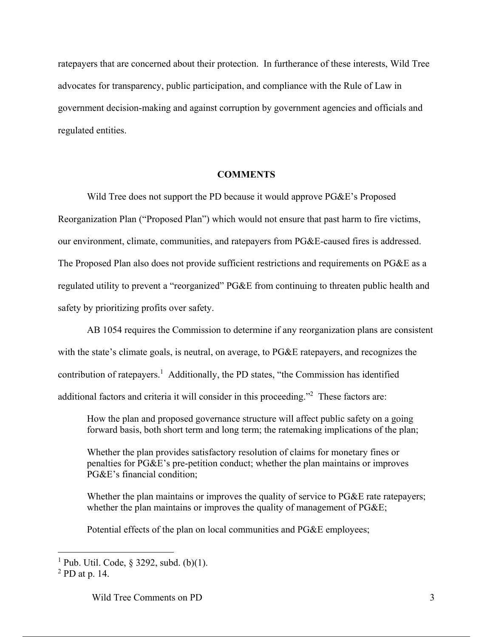ratepayers that are concerned about their protection. In furtherance of these interests, Wild Tree advocates for transparency, public participation, and compliance with the Rule of Law in government decision-making and against corruption by government agencies and officials and regulated entities.

### **COMMENTS**

Wild Tree does not support the PD because it would approve PG&E's Proposed Reorganization Plan ("Proposed Plan") which would not ensure that past harm to fire victims, our environment, climate, communities, and ratepayers from PG&E-caused fires is addressed. The Proposed Plan also does not provide sufficient restrictions and requirements on PG&E as a regulated utility to prevent a "reorganized" PG&E from continuing to threaten public health and safety by prioritizing profits over safety.

AB 1054 requires the Commission to determine if any reorganization plans are consistent with the state's climate goals, is neutral, on average, to PG&E ratepayers, and recognizes the contribution of ratepayers.<sup>1</sup> Additionally, the PD states, "the Commission has identified additional factors and criteria it will consider in this proceeding."<sup>2</sup> These factors are:

How the plan and proposed governance structure will affect public safety on a going forward basis, both short term and long term; the ratemaking implications of the plan;

Whether the plan provides satisfactory resolution of claims for monetary fines or penalties for PG&E's pre-petition conduct; whether the plan maintains or improves PG&E's financial condition;

Whether the plan maintains or improves the quality of service to PG&E rate ratepayers; whether the plan maintains or improves the quality of management of PG&E;

Potential effects of the plan on local communities and PG&E employees;

 $\overline{a}$ 

<sup>&</sup>lt;sup>1</sup> Pub. Util. Code,  $\S$  3292, subd. (b)(1).

<sup>2</sup> PD at p. 14.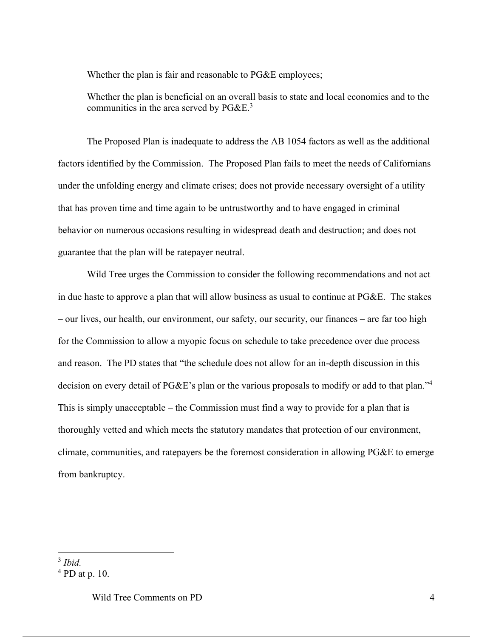Whether the plan is fair and reasonable to PG&E employees;

Whether the plan is beneficial on an overall basis to state and local economies and to the communities in the area served by  $P G \& E^3$ 

The Proposed Plan is inadequate to address the AB 1054 factors as well as the additional factors identified by the Commission. The Proposed Plan fails to meet the needs of Californians under the unfolding energy and climate crises; does not provide necessary oversight of a utility that has proven time and time again to be untrustworthy and to have engaged in criminal behavior on numerous occasions resulting in widespread death and destruction; and does not guarantee that the plan will be ratepayer neutral.

Wild Tree urges the Commission to consider the following recommendations and not act in due haste to approve a plan that will allow business as usual to continue at PG&E. The stakes – our lives, our health, our environment, our safety, our security, our finances – are far too high for the Commission to allow a myopic focus on schedule to take precedence over due process and reason. The PD states that "the schedule does not allow for an in-depth discussion in this decision on every detail of PG&E's plan or the various proposals to modify or add to that plan."<sup>4</sup> This is simply unacceptable – the Commission must find a way to provide for a plan that is thoroughly vetted and which meets the statutory mandates that protection of our environment, climate, communities, and ratepayers be the foremost consideration in allowing PG&E to emerge from bankruptcy.

 $\overline{a}$ 

<sup>3</sup> *Ibid.*

 $<sup>4</sup>$  PD at p. 10.</sup>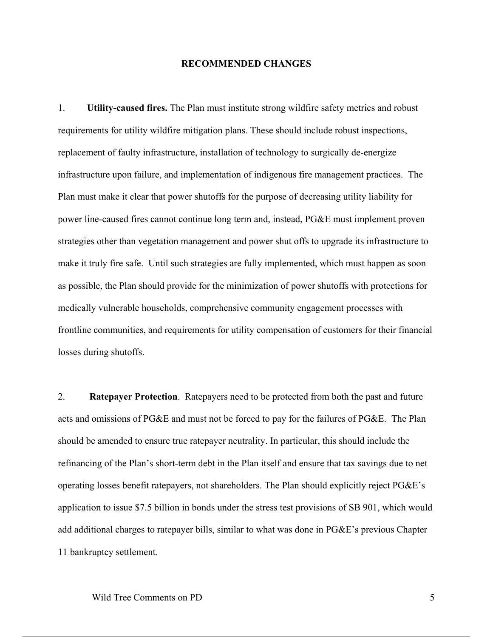#### **RECOMMENDED CHANGES**

1. **Utility-caused fires.** The Plan must institute strong wildfire safety metrics and robust requirements for utility wildfire mitigation plans. These should include robust inspections, replacement of faulty infrastructure, installation of technology to surgically de-energize infrastructure upon failure, and implementation of indigenous fire management practices. The Plan must make it clear that power shutoffs for the purpose of decreasing utility liability for power line-caused fires cannot continue long term and, instead, PG&E must implement proven strategies other than vegetation management and power shut offs to upgrade its infrastructure to make it truly fire safe. Until such strategies are fully implemented, which must happen as soon as possible, the Plan should provide for the minimization of power shutoffs with protections for medically vulnerable households, comprehensive community engagement processes with frontline communities, and requirements for utility compensation of customers for their financial losses during shutoffs.

2. **Ratepayer Protection**. Ratepayers need to be protected from both the past and future acts and omissions of PG&E and must not be forced to pay for the failures of PG&E. The Plan should be amended to ensure true ratepayer neutrality. In particular, this should include the refinancing of the Plan's short-term debt in the Plan itself and ensure that tax savings due to net operating losses benefit ratepayers, not shareholders. The Plan should explicitly reject PG&E's application to issue \$7.5 billion in bonds under the stress test provisions of SB 901, which would add additional charges to ratepayer bills, similar to what was done in PG&E's previous Chapter 11 bankruptcy settlement.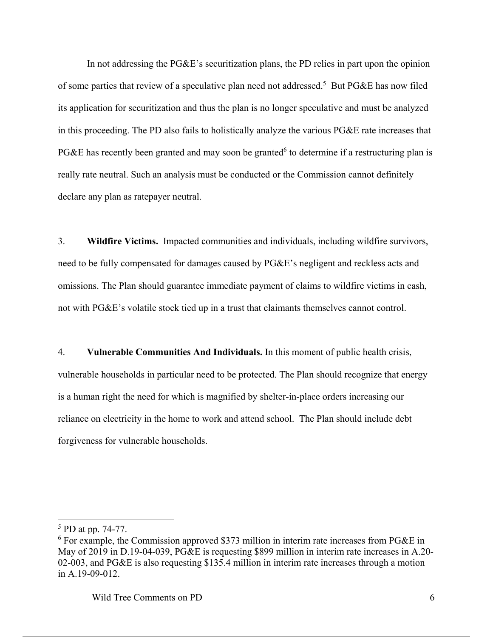In not addressing the PG&E's securitization plans, the PD relies in part upon the opinion of some parties that review of a speculative plan need not addressed.<sup>5</sup> But PG&E has now filed its application for securitization and thus the plan is no longer speculative and must be analyzed in this proceeding. The PD also fails to holistically analyze the various PG&E rate increases that PG&E has recently been granted and may soon be granted<sup>6</sup> to determine if a restructuring plan is really rate neutral. Such an analysis must be conducted or the Commission cannot definitely declare any plan as ratepayer neutral.

3. **Wildfire Victims.** Impacted communities and individuals, including wildfire survivors, need to be fully compensated for damages caused by PG&E's negligent and reckless acts and omissions. The Plan should guarantee immediate payment of claims to wildfire victims in cash, not with PG&E's volatile stock tied up in a trust that claimants themselves cannot control.

4. **Vulnerable Communities And Individuals.** In this moment of public health crisis, vulnerable households in particular need to be protected. The Plan should recognize that energy is a human right the need for which is magnified by shelter-in-place orders increasing our reliance on electricity in the home to work and attend school. The Plan should include debt forgiveness for vulnerable households.

 $\overline{a}$ 

<sup>&</sup>lt;sup>5</sup> PD at pp. 74-77.

<sup>6</sup> For example, the Commission approved \$373 million in interim rate increases from PG&E in May of 2019 in D.19-04-039, PG&E is requesting \$899 million in interim rate increases in A.20- 02-003, and PG&E is also requesting \$135.4 million in interim rate increases through a motion in A.19-09-012.